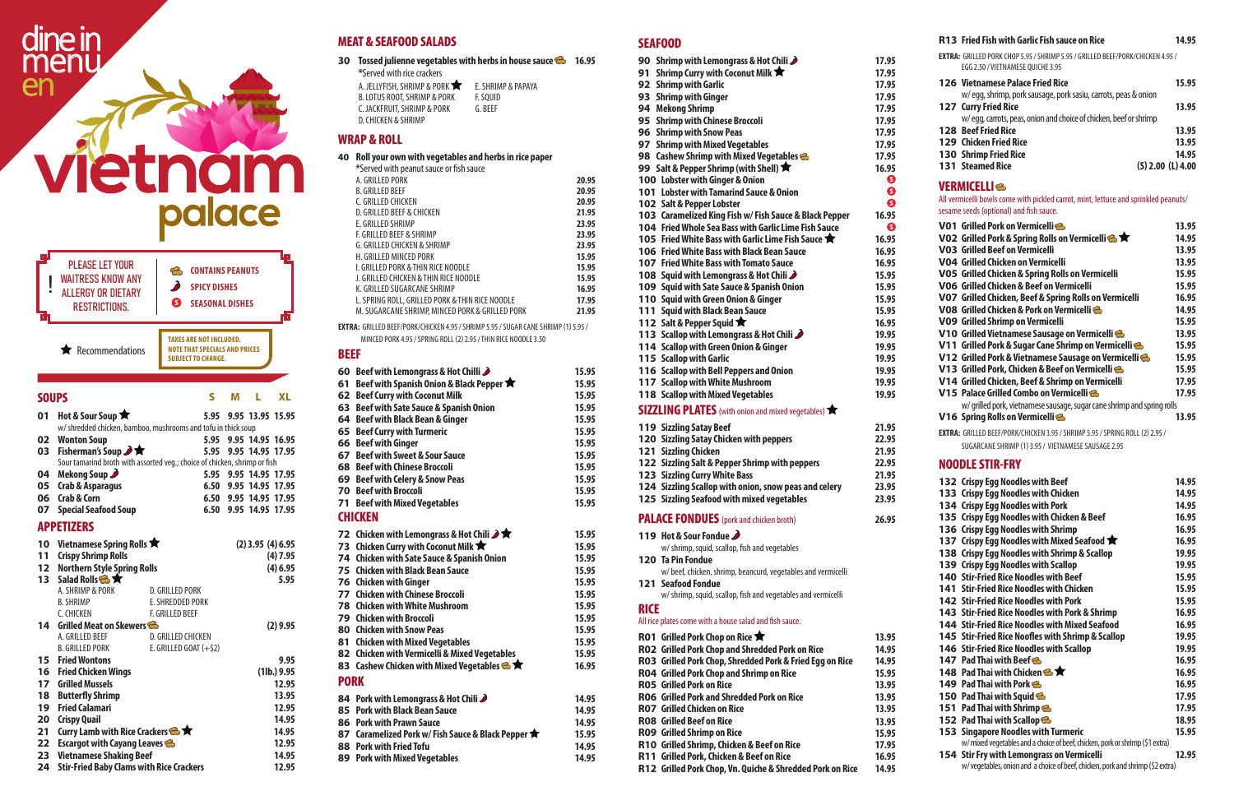**23 Vietnamese Shaking Beef 14.95 24 Stir-Fried Baby Clams with Rice Crackers 12.95**

### **MEAT & SEAFOOD SALADS**

**30 Tossed julienne vegetables with herbs in house sauce 6 16.95** 

| *Served with rice crackers             |                    |
|----------------------------------------|--------------------|
| A. JELLYFISH, SHRIMP & PORK $\bigstar$ | E. SHRIMP & PAPAYA |
| B. LOTUS ROOT, SHRIMP & PORK           | F. SOUID           |
| C. JACKFRUIT, SHRIMP & PORK            | G. BFFF            |
| D. CHICKEN & SHRIMP                    |                    |

### **WRAP & ROLL**

### **40 Roll your own with vegetables and herbs in rice paper**

| *Served with peanut sauce or fish sauce         |       |
|-------------------------------------------------|-------|
| A. GRILLED PORK                                 | 20.95 |
| <b>B. GRILLED BEEF</b>                          | 20.95 |
| C. GRILLED CHICKEN                              | 20.95 |
| D. GRILLED BEEF & CHICKEN                       | 21.95 |
| E. GRILLED SHRIMP                               | 23.95 |
| F. GRILLED BEEF & SHRIMP                        | 23.95 |
| G. GRILLED CHICKEN & SHRIMP                     | 23.95 |
| H. GRILLED MINCED PORK                          | 15.95 |
| L. GRILLED PORK & THIN RICE NOODLE              | 15.95 |
| J. GRILLED CHICKEN & THIN RICE NOODLE           | 15.95 |
| K. GRILLED SUGARCANE SHRIMP                     | 16.95 |
| L. SPRING ROLL, GRILLED PORK & THIN RICE NOODLE | 17.95 |
| M. SUGARCANE SHRIMP, MINCED PORK & GRILLED PORK | 21.95 |

**EXTRA:** GRILLED BEEF/PORK/CHICKEN 4.95 / SHRIMP 5.95 / SUGAR CANE SHRIMP (1) 5.95 /

MINCED PORK 4.95 / SPRING ROLL (2) 2.95 / THIN RICE NOODLE 3.50

### **BEEF**

|             | 60 Beef with Lemongrass & Hot Chilli                       | 15.95 |
|-------------|------------------------------------------------------------|-------|
|             | 61 Beef with Spanish Onion & Black Pepper ★                | 15.95 |
|             | 62 Beef Curry with Coconut Milk                            | 15.95 |
|             | 63 Beef with Sate Sauce & Spanish Onion                    | 15.95 |
|             | 64 Beef with Black Bean & Ginger                           | 15.95 |
|             | 65 Beef Curry with Turmeric                                | 15.95 |
|             | 66 Beef with Ginger                                        | 15.95 |
|             | 67 Beef with Sweet & Sour Sauce                            | 15.95 |
|             | 68 Beef with Chinese Broccoli                              | 15.95 |
|             | 69 Beef with Celery & Snow Peas                            | 15.95 |
|             | <b>70 Beef with Broccoli</b>                               | 15.95 |
|             | 71 Beef with Mixed Vegetables                              | 15.95 |
|             | <b>CHICKEN</b>                                             |       |
|             |                                                            |       |
|             | 72 Chicken with Lemongrass & Hot Chili $\rightarrow \star$ | 15.95 |
|             | 73 Chicken Curry with Coconut Milk <b>*</b>                | 15.95 |
|             | 74 Chicken with Sate Sauce & Spanish Onion                 | 15.95 |
|             | 75 Chicken with Black Bean Sauce                           | 15.95 |
|             | <b>76 Chicken with Ginger</b>                              | 15.95 |
|             | 77 Chicken with Chinese Broccoli                           | 15.95 |
|             | <b>78 Chicken with White Mushroom</b>                      | 15.95 |
|             | <b>79 Chicken with Broccoli</b>                            | 15.95 |
|             | <b>80 Chicken with Snow Peas</b>                           | 15.95 |
|             | 81 Chicken with Mixed Vegetables                           | 15.95 |
|             | 82 Chicken with Vermicelli & Mixed Vegetables              | 15.95 |
|             | 83 Cashew Chicken with Mixed Vegetables $\clubsuit \star$  | 16.95 |
| <b>PORK</b> |                                                            |       |
|             | 84 Pork with Lemongrass & Hot Chili                        | 14.95 |
|             | 85 Pork with Black Bean Sauce                              | 14.95 |
|             | 86 Pork with Prawn Sauce                                   | 14.95 |
|             | 87 Caramelized Pork w/ Fish Sauce & Black Pepper           | 15.95 |
|             | 88 Pork with Fried Tofu                                    | 14.95 |

|             | 90 Shrimp with Lemongrass & Hot Chili                                                                 | 17.95          |
|-------------|-------------------------------------------------------------------------------------------------------|----------------|
|             | 91 Shrimp Curry with Coconut Milk $\bigstar$                                                          | 17.95          |
|             | 92 Shrimp with Garlic                                                                                 | 17.95          |
|             | 93 Shrimp with Ginger                                                                                 | 17.95          |
|             | 94 Mekong Shrimp                                                                                      | 17.95          |
|             | 95 Shrimp with Chinese Broccoli                                                                       | 17.95          |
|             | 96 Shrimp with Snow Peas                                                                              | 17.95          |
|             | 97 Shrimp with Mixed Vegetables                                                                       | 17.95          |
|             | 98 Cashew Shrimp with Mixed Vegetables                                                                | 17.95          |
|             | 99 Salt & Pepper Shrimp (with Shell) $\bigstar$                                                       | 16.95          |
|             | 100 Lobster with Ginger & Onion                                                                       | ❸              |
|             | 101 Lobster with Tamarind Sauce & Onion                                                               | ❸              |
|             | 102 Salt & Pepper Lobster                                                                             | ❸              |
|             | 103 Caramelized King Fish w/ Fish Sauce & Black Pepper                                                | 16.95          |
|             | 104 Fried Whole Sea Bass with Garlic Lime Fish Sauce                                                  | ❸              |
|             | 105 Fried White Bass with Garlic Lime Fish Sauce ★                                                    | 16.95          |
|             | 106 Fried White Bass with Black Bean Sauce<br>107 Fried White Bass with Tomato Sauce                  | 16.95<br>16.95 |
|             |                                                                                                       | 15.95          |
|             | 108 Squid with Lemongrass & Hot Chili<br>109 Squid with Sate Sauce & Spanish Onion                    | 15.95          |
|             | 110 Squid with Green Onion & Ginger                                                                   | 15.95          |
|             | 111 Squid with Black Bean Sauce                                                                       | 15.95          |
|             | 112 Salt & Pepper Squid ★                                                                             | 16.95          |
|             | 113 Scallop with Lemongrass & Hot Chili                                                               | 19.95          |
|             | 114 Scallop with Green Onion & Ginger                                                                 | 19.95          |
|             | 115 Scallop with Garlic                                                                               | 19.95          |
|             | 116 Scallop with Bell Peppers and Onion                                                               | 19.95          |
|             | 117 Scallop with White Mushroom                                                                       | 19.95          |
|             | 118 Scallop with Mixed Vegetables                                                                     | 19.95          |
|             | SIZZLING PLATES (with onion and mixed vegetables)                                                     |                |
|             |                                                                                                       |                |
|             | <b>119 Sizzling Satay Beef</b>                                                                        | 21.95          |
|             | 120 Sizzling Satay Chicken with peppers                                                               | 22.95          |
|             | 121 Sizzling Chicken                                                                                  | 21.95          |
|             | 122 Sizzling Salt & Pepper Shrimp with peppers<br>123 Sizzling Curry White Bass                       | 22.95          |
|             | 124 Sizzling Scallop with onion, snow peas and celery                                                 | 21.95<br>23.95 |
|             | 125 Sizzling Seafood with mixed vegetables                                                            | 23.95          |
|             |                                                                                                       |                |
|             | <b>PALACE FONDUES</b> (pork and chicken broth)                                                        | 26.95          |
|             | 119 Hot & Sour Fondue                                                                                 |                |
|             | w/ shrimp, squid, scallop, fish and vegetables                                                        |                |
|             | <b>120 Ta Pin Fondue</b>                                                                              |                |
|             | w/beef, chicken, shrimp, beancurd, vegetables and vermicelli                                          |                |
|             | <b>121 Seafood Fondue</b>                                                                             |                |
|             | w/ shrimp, squid, scallop, fish and vegetables and vermicelli                                         |                |
| <b>RICE</b> |                                                                                                       |                |
|             | All rice plates come with a house salad and fish sauce.                                               |                |
|             | <b>RO1</b> Grilled Pork Chop on Rice ★                                                                | 13.95          |
|             | RO2 Grilled Pork Chop and Shredded Pork on Rice                                                       | 14.95          |
|             | RO3 Grilled Pork Chop, Shredded Pork & Fried Egg on Rice                                              | 14.95          |
|             | RO4 Grilled Pork Chop and Shrimp on Rice                                                              | 15.95          |
|             | <b>RO5</b> Grilled Pork on Rice                                                                       | 13.95          |
|             | RO6 Grilled Pork and Shredded Pork on Rice                                                            | 13.95          |
|             | <b>RO7</b> Grilled Chicken on Rice                                                                    | 13.95          |
|             | <b>RO8</b> Grilled Beef on Rice                                                                       | 13.95          |
|             | RO9 Grilled Shrimp on Rice                                                                            | 15.95          |
|             |                                                                                                       |                |
|             | R10 Grilled Shrimp, Chicken & Beef on Rice                                                            | 17.95          |
|             | R11 Grilled Pork, Chicken & Beef on Rice<br>R12 Grilled Pork Chop, Vn. Quiche & Shredded Pork on Rice | 16.95<br>14.95 |

**89 Pork with Mixed Vegetables 14.95**

### **SEAFOOD**

# ne in<br>Ienu dir er



|                 | <b>PLEASE LET YOUR</b><br><b>WAITRESS KNOW ANY</b><br><b>ALLERGY OR DIETARY</b><br><b>RESTRICTIONS.</b> | B<br>$\lambda$<br>6     | <b>CONTAINS PEANUTS</b><br><b>SPICY DISHES</b><br><b>SEASONAL DISHES</b>                            |   |                       |             |
|-----------------|---------------------------------------------------------------------------------------------------------|-------------------------|-----------------------------------------------------------------------------------------------------|---|-----------------------|-------------|
|                 | $\bigstar$ Recommendations                                                                              |                         | <b>TAXES ARE NOT INCLUDED.</b><br><b>NOTE THAT SPECIALS AND PRICES</b><br><b>SUBJECT TO CHANGE.</b> |   |                       |             |
| <b>SOUPS</b>    |                                                                                                         |                         | S                                                                                                   | м | L                     | <b>XL</b>   |
| 01              | Hot & Sour Soup                                                                                         |                         |                                                                                                     |   | 5.95 9.95 13.95 15.95 |             |
|                 | w/ shredded chicken, bamboo, mushrooms and tofu in thick soup                                           |                         |                                                                                                     |   |                       |             |
|                 | <b>02</b> Wonton Soup                                                                                   |                         |                                                                                                     |   | 5.95 9.95 14.95 16.95 |             |
| 03              | Fisherman's Soup ノ <b>★</b>                                                                             |                         | 5.95                                                                                                |   | 9.95 14.95 17.95      |             |
|                 | Sour tamarind broth with assorted veg.; choice of chicken, shrimp or fish                               |                         |                                                                                                     |   |                       |             |
| 04              | Mekong Soup                                                                                             |                         |                                                                                                     |   | 5.95 9.95 14.95 17.95 |             |
|                 | 05 Crab & Asparagus                                                                                     |                         |                                                                                                     |   | 6.50 9.95 14.95 17.95 |             |
| 06              | <b>Crab &amp; Corn</b>                                                                                  |                         |                                                                                                     |   | 6.50 9.95 14.95 17.95 |             |
| 07              | <b>Special Seafood Soup</b>                                                                             |                         |                                                                                                     |   | 6.50 9.95 14.95 17.95 |             |
|                 | <b>APPETIZERS</b>                                                                                       |                         |                                                                                                     |   |                       |             |
| 10              | Vietnamese Spring Rolls                                                                                 |                         |                                                                                                     |   | $(2)$ 3.95 $(4)$ 6.95 |             |
| 11              | <b>Crispy Shrimp Rolls</b>                                                                              |                         |                                                                                                     |   |                       | (4) 7.95    |
| 12 <sub>2</sub> | <b>Northern Style Spring Rolls</b>                                                                      |                         |                                                                                                     |   |                       | (4) 6.95    |
| 13 <sup>1</sup> | Salad Rolls <b>&amp;</b>                                                                                |                         |                                                                                                     |   |                       | 5.95        |
|                 | A. SHRIMP & PORK                                                                                        | D. GRILLED PORK         |                                                                                                     |   |                       |             |
|                 | <b>B. SHRIMP</b>                                                                                        | E. SHREDDED PORK        |                                                                                                     |   |                       |             |
|                 | C. CHICKEN                                                                                              | F. GRILLED BEEF         |                                                                                                     |   |                       |             |
| 14              | Grilled Meat on Skewers                                                                                 |                         |                                                                                                     |   |                       | $(2)$ 9.95  |
|                 | A. GRILLED BEEF                                                                                         | D. GRILLED CHICKEN      |                                                                                                     |   |                       |             |
|                 | <b>B. GRILLED PORK</b>                                                                                  | E. GRILLED GOAT $(+52)$ |                                                                                                     |   |                       |             |
| 15              | <b>Fried Wontons</b>                                                                                    |                         |                                                                                                     |   |                       | 9.95        |
|                 | <b>16 Fried Chicken Wings</b>                                                                           |                         |                                                                                                     |   |                       | (11b.) 9.95 |
|                 | 17 Grilled Mussels                                                                                      |                         |                                                                                                     |   |                       | 12.95       |
|                 | <b>18 Butterfly Shrimp</b>                                                                              |                         |                                                                                                     |   |                       | 13.95       |
| 19              | <b>Fried Calamari</b>                                                                                   |                         |                                                                                                     |   |                       | 12.95       |
| 20              | <b>Crispy Quail</b>                                                                                     |                         |                                                                                                     |   |                       | 14.95       |
| 21              | <b>Curry Lamb with Rice Crackers &amp; T</b>                                                            |                         |                                                                                                     |   |                       | 14.95       |
| 22              | <b>Escargot with Cayang Leaves</b>                                                                      |                         |                                                                                                     |   |                       | 12.95       |

| <b>R13</b> Fried Fish with Garlic Fish sauce on Rice                                                                       | 14.95 |
|----------------------------------------------------------------------------------------------------------------------------|-------|
| <b>EXTRA: GRILLED PORK CHOP 5.95 / SHRIMP 5.95 / GRILLED BEEF/PORK/CHICKEN 4.95 /</b><br>EGG 2.50 / VIETNAMESE OUICHE 3.95 |       |
| <b>126 Vietnamese Palace Fried Rice</b><br>w/eqq, shrimp, pork sausage, pork sasiu, carrots, peas & onion                  | 15.95 |
| <b>127 Curry Fried Rice</b><br>w/eqq, carrots, peas, onion and choice of chicken, beef or shrimp                           | 13.95 |
| <b>128 Beef Fried Rice</b>                                                                                                 | 13.95 |
| <b>129 Chicken Fried Rice</b>                                                                                              | 13.95 |
| <b>130 Shrimp Fried Rice</b>                                                                                               | 14.95 |
| <b>131 Steamed Rice</b><br>$(S)$ 2.00 $(L)$ 4.00                                                                           |       |

### **VERMICELLI**

All vermicelli bowls come with pickled carrot, mint, lettuce and sprinkled peanuts/ sesame seeds (optional) and fish sauce.

| VO1 Grilled Pork on Vermicelli                                          | 13.95 |
|-------------------------------------------------------------------------|-------|
| VO2 Grilled Pork & Spring Rolls on Vermicelli                           | 14.95 |
| <b>VO3</b> Grilled Beef on Vermicelli                                   | 13.95 |
| VO4 Grilled Chicken on Vermicelli                                       | 13.95 |
| VO5 Grilled Chicken & Spring Rolls on Vermicelli                        | 15.95 |
| VO6 Grilled Chicken & Beef on Vermicelli                                | 15.95 |
| VO7 Grilled Chicken, Beef & Spring Rolls on Vermicelli                  | 16.95 |
| VO8   Grilled Chicken & Pork on Vermicelli <del>©</del>                 | 14.95 |
| <b>VO9 Grilled Shrimp on Vermicelli</b>                                 | 15.95 |
| V10 Grilled Vietnamese Sausage on Vermicelli                            | 13.95 |
| V11 Grilled Pork & Sugar Cane Shrimp on Vermicelli                      | 15.95 |
| V12 Grilled Pork & Vietnamese Sausage on Vermicelli                     | 15.95 |
| V13 Grilled Pork, Chicken & Beef on Vermicelli                          | 15.95 |
| V14 Grilled Chicken, Beef & Shrimp on Vermicelli                        | 17.95 |
| V15 Palace Grilled Combo on Vermicelli                                  | 17.95 |
| w/ grilled pork, vietnamese sausage, sugar cane shrimp and spring rolls |       |
| V16 Spring Rolls on Vermicelli                                          | 13.95 |
|                                                                         |       |

**EXTRA:** GRILLED BEEF/PORK/CHICKEN 3.95 / SHRIMP 5.95 / SPRING ROLL (2) 2.95 / SUGARCANE SHRIMP (1) 3.95 / VIETNAMESE SAUSAGE 2.95

### **NOODLE STIR-FRY**

| 132 Crispy Egg Noodles with Beef                                              | 14.95 |
|-------------------------------------------------------------------------------|-------|
| 133 Crispy Egg Noodles with Chicken                                           | 14.95 |
| 134 Crispy Egg Noodles with Pork                                              | 14.95 |
| 135 Crispy Egg Noodles with Chicken & Beef                                    | 16.95 |
| 136 Crispy Egg Noodles with Shrimp                                            | 16.95 |
| 137 Crispy Egg Noodles with Mixed Seafood <b>*</b>                            | 16.95 |
| 138 Crispy Egg Noodles with Shrimp & Scallop                                  | 19.95 |
| 139 Crispy Egg Noodles with Scallop                                           | 19.95 |
| <b>140 Stir-Fried Rice Noodles with Beef</b>                                  | 15.95 |
| <b>141 Stir-Fried Rice Noodles with Chicken</b>                               | 15.95 |
| <b>142 Stir-Fried Rice Noodles with Pork</b>                                  | 15.95 |
| 143 Stir-Fried Rice Noodles with Pork & Shrimp                                | 16.95 |
| <b>144 Stir-Fried Rice Noodles with Mixed Seafood</b>                         | 16.95 |
| 145 Stir-Fried Rice Noofles with Shrimp & Scallop                             | 19.95 |
| <b>146 Stir-Fried Rice Noodles with Scallop</b>                               | 19.95 |
| <b>147</b> Pad Thai with Beef                                                 | 16.95 |
| 148 Pad Thai with Chicken <b>&amp; ★</b>                                      | 16.95 |
| 149 Pad Thai with Pork &                                                      | 16.95 |
| 150 Pad Thai with Squid                                                       | 17.95 |
| 151 Pad Thai with Shrimp                                                      | 17.95 |
| 152 Pad Thai with Scallop                                                     | 18.95 |
| <b>153 Singapore Noodles with Turmeric</b>                                    | 15.95 |
| w/ mixed vegetables and a choice of beef, chicken, pork or shrimp (\$1 extra) |       |
| 154 Stir Fry with Lemongrass on Vermicelli<br>$\blacksquare$                  | 12.95 |
|                                                                               |       |

w/ vegetables, onion and a choice of beef, chicken, pork and shrimp (\$2 extra)